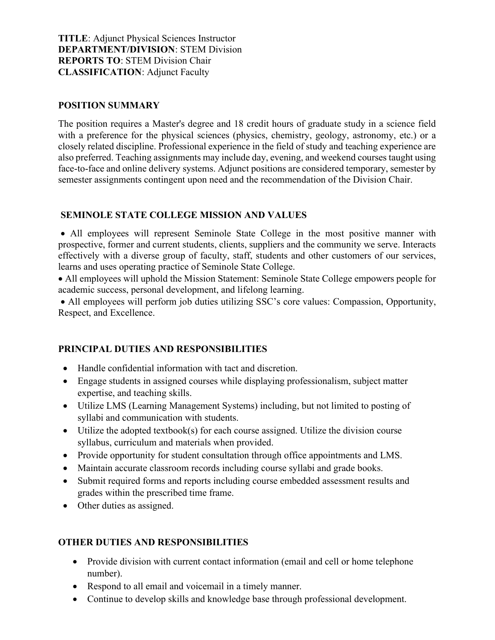TITLE: Adjunct Physical Sciences Instructor DEPARTMENT/DIVISION: STEM Division REPORTS TO: STEM Division Chair CLASSIFICATION: Adjunct Faculty

#### POSITION SUMMARY

The position requires a Master's degree and 18 credit hours of graduate study in a science field with a preference for the physical sciences (physics, chemistry, geology, astronomy, etc.) or a closely related discipline. Professional experience in the field of study and teaching experience are also preferred. Teaching assignments may include day, evening, and weekend courses taught using face-to-face and online delivery systems. Adjunct positions are considered temporary, semester by semester assignments contingent upon need and the recommendation of the Division Chair.

### SEMINOLE STATE COLLEGE MISSION AND VALUES

 All employees will represent Seminole State College in the most positive manner with prospective, former and current students, clients, suppliers and the community we serve. Interacts effectively with a diverse group of faculty, staff, students and other customers of our services, learns and uses operating practice of Seminole State College.

 All employees will uphold the Mission Statement: Seminole State College empowers people for academic success, personal development, and lifelong learning.

 All employees will perform job duties utilizing SSC's core values: Compassion, Opportunity, Respect, and Excellence.

### PRINCIPAL DUTIES AND RESPONSIBILITIES

- Handle confidential information with tact and discretion.
- Engage students in assigned courses while displaying professionalism, subject matter expertise, and teaching skills.
- Utilize LMS (Learning Management Systems) including, but not limited to posting of syllabi and communication with students.
- Utilize the adopted textbook(s) for each course assigned. Utilize the division course syllabus, curriculum and materials when provided.
- Provide opportunity for student consultation through office appointments and LMS.
- Maintain accurate classroom records including course syllabi and grade books.
- Submit required forms and reports including course embedded assessment results and grades within the prescribed time frame.
- Other duties as assigned.

### OTHER DUTIES AND RESPONSIBILITIES

- Provide division with current contact information (email and cell or home telephone number).
- Respond to all email and voicemail in a timely manner.
- Continue to develop skills and knowledge base through professional development.